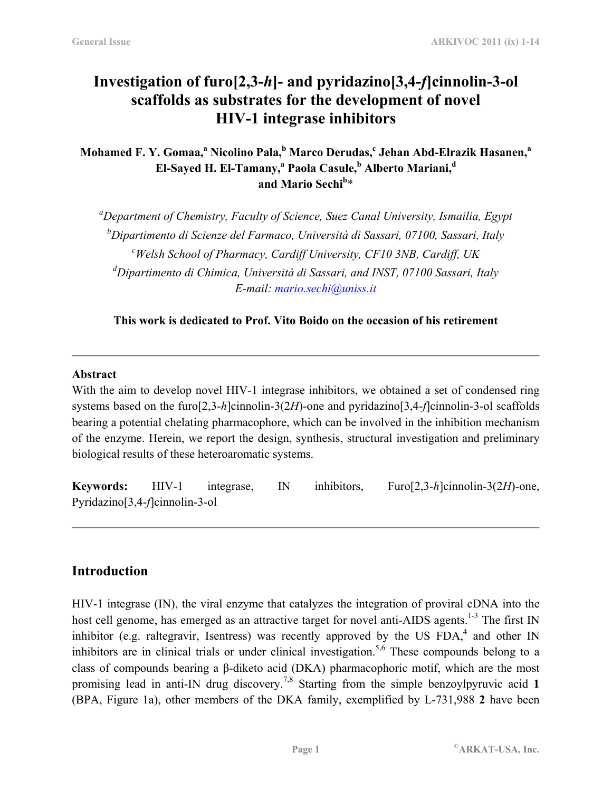# **Investigation of furo[2,3-***h***]- and pyridazino[3,4-***f***]cinnolin-3-ol scaffolds as substrates for the development of novel HIV-1 integrase inhibitors**

**Mohamed F. Y. Gomaa,<sup>a</sup> Nicolino Pala,b Marco Derudas,c Jehan Abd-Elrazik Hasanen,<sup>a</sup>** El-Sayed H. El-Tamany,<sup>a</sup> Paola Casule,<sup>b</sup> Alberto Mariani,<sup>d</sup> **and Mario Sechi<sup>b</sup>** \*

*a Department of Chemistry, Faculty of Science, Suez Canal University, Ismailia, Egypt b Dipartimento di Scienze del Farmaco, Università di Sassari, 07100, Sassari, Italy c Welsh School of Pharmacy, Cardiff University, CF10 3NB, Cardiff, UK d Dipartimento di Chimica, Università di Sassari, and INST, 07100 Sassari, Italy E-mail[: mario.sechi@uniss.it](mailto:mario.sechi@uniss.it)*

**This work is dedicated to Prof. Vito Boido on the occasion of his retirement** 

#### **Abstract**

With the aim to develop novel HIV-1 integrase inhibitors, we obtained a set of condensed ring systems based on the furo[2,3-*h*]cinnolin-3(2*H*)-one and pyridazino[3,4-*f*]cinnolin-3-ol scaffolds bearing a potential chelating pharmacophore, which can be involved in the inhibition mechanism of the enzyme. Herein, we report the design, synthesis, structural investigation and preliminary biological results of these heteroaromatic systems.

**Keywords:** HIV-1 integrase, IN inhibitors, Furo[2,3-*h*]cinnolin-3(2*H*)-one, Pyridazino[3,4-*f*]cinnolin-3-ol

### **Introduction**

HIV-1 integrase (IN), the viral enzyme that catalyzes the integration of proviral cDNA into the host cell genome, has emerged as an attractive target for novel anti-AIDS agents.<sup>1-3</sup> The first IN inhibitor (e.g. raltegravir, Isentress) was recently approved by the US FDA,<sup>4</sup> and other IN inhibitors are in clinical trials or under clinical investigation.<sup>5,6</sup> These compounds belong to a class of compounds bearing a β-diketo acid (DKA) pharmacophoric motif, which are the most promising lead in anti-IN drug discovery.7,8 Starting from the simple benzoylpyruvic acid **1** (BPA, Figure 1a), other members of the DKA family, exemplified by L-731,988 **2** have been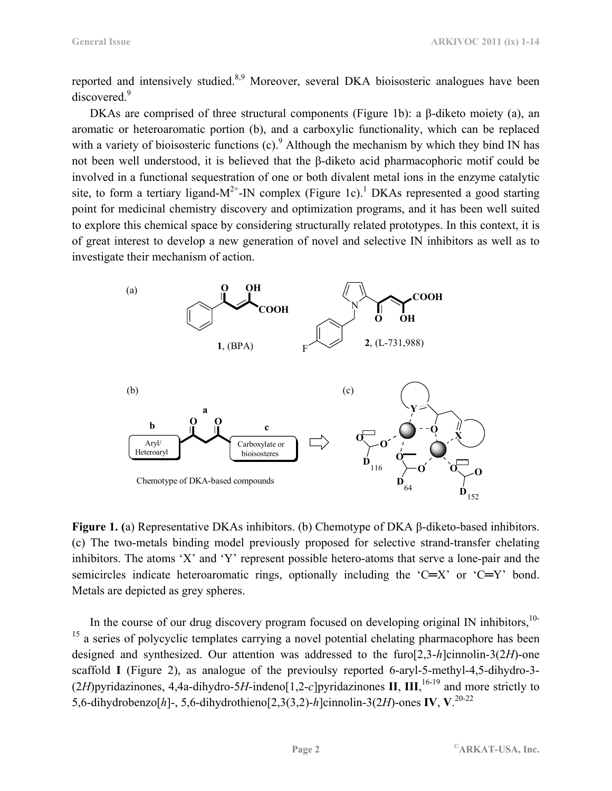reported and intensively studied.<sup>8,9</sup> Moreover, several DKA bioisosteric analogues have been discovered.<sup>9</sup>

DKAs are comprised of three structural components (Figure 1b): a β-diketo moiety (a), an aromatic or heteroaromatic portion (b), and a carboxylic functionality, which can be replaced with a variety of bioisosteric functions  $(c)$ . Although the mechanism by which they bind IN has not been well understood, it is believed that the β-diketo acid pharmacophoric motif could be involved in a functional sequestration of one or both divalent metal ions in the enzyme catalytic site, to form a tertiary ligand- $M^{2+}$ -IN complex (Figure 1c).<sup>1</sup> DKAs represented a good starting point for medicinal chemistry discovery and optimization programs, and it has been well suited to explore this chemical space by considering structurally related prototypes. In this context, it is of great interest to develop a new generation of novel and selective IN inhibitors as well as to investigate their mechanism of action.



**Figure 1. (**a) Representative DKAs inhibitors. (b) Chemotype of DKA β-diketo-based inhibitors. (c) The two-metals binding model previously proposed for selective strand-transfer chelating inhibitors. The atoms 'X' and 'Y' represent possible hetero-atoms that serve a lone-pair and the semicircles indicate heteroaromatic rings, optionally including the 'C=X' or 'C=Y' bond. Metals are depicted as grey spheres.

In the course of our drug discovery program focused on developing original IN inhibitors,  $10-$ <sup>15</sup> a series of polycyclic templates carrying a novel potential chelating pharmacophore has been designed and synthesized. Our attention was addressed to the furo[2,3-*h*]cinnolin-3(2*H*)-one scaffold **I** (Figure 2), as analogue of the previoulsy reported 6-aryl-5-methyl-4,5-dihydro-3- (2*H*)pyridazinones, 4,4a-dihydro-5*H*-indeno[1,2-*c*]pyridazinones **II**, **III**,  $^{16-19}$  and more strictly to 5,6-dihydrobenzo[*h*]-, 5,6-dihydrothieno[2,3(3,2)-*h*]cinnolin-3(2*H*)-ones **IV**, **V**. 20-22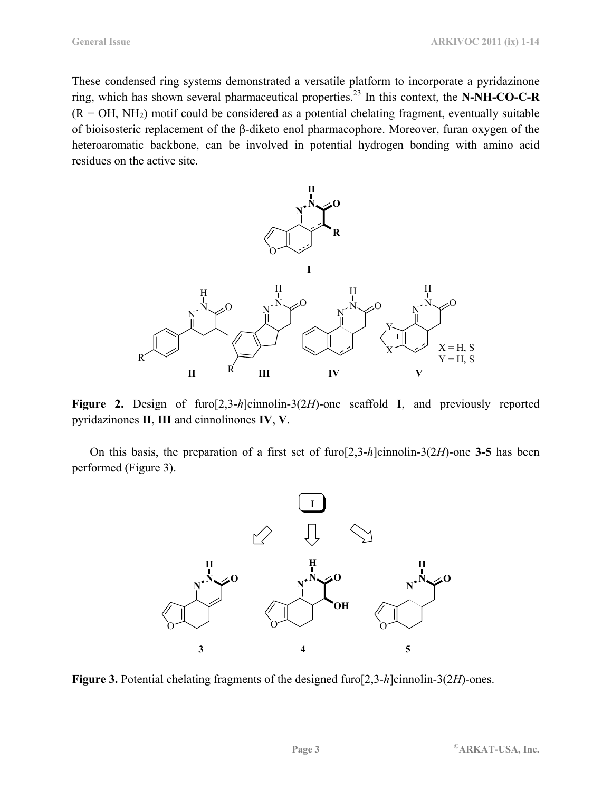These condensed ring systems demonstrated a versatile platform to incorporate a pyridazinone ring, which has shown several pharmaceutical properties.23 In this context, the **N-NH-CO-C-R**   $(R = OH, NH<sub>2</sub>)$  motif could be considered as a potential chelating fragment, eventually suitable of bioisosteric replacement of the β-diketo enol pharmacophore. Moreover, furan oxygen of the heteroaromatic backbone, can be involved in potential hydrogen bonding with amino acid residues on the active site.



**Figure 2.** Design of furo[2,3-*h*]cinnolin-3(2*H*)-one scaffold **I**, and previously reported pyridazinones **II**, **III** and cinnolinones **IV**, **V**.

On this basis, the preparation of a first set of furo[2,3-*h*]cinnolin-3(2*H*)-one **3-5** has been performed (Figure 3).



**Figure 3.** Potential chelating fragments of the designed furo[2,3-*h*]cinnolin-3(2*H*)-ones.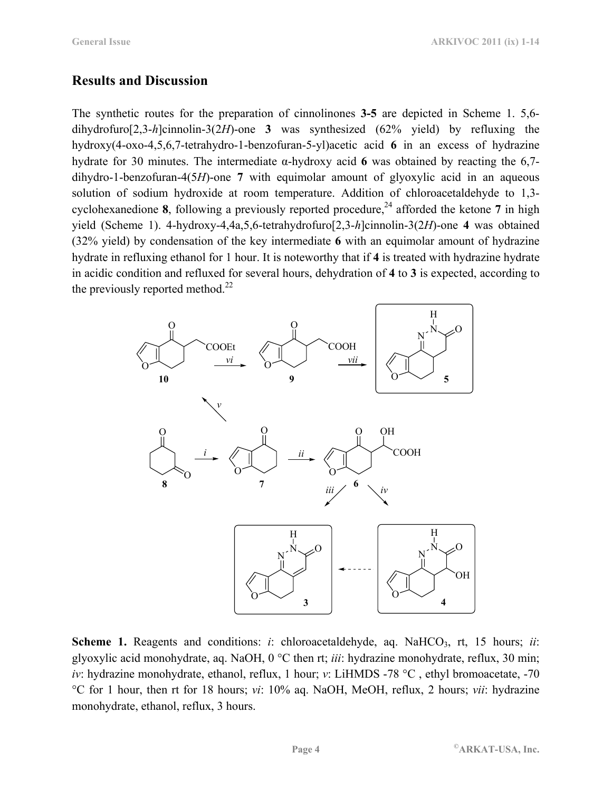### **Results and Discussion**

The synthetic routes for the preparation of cinnolinones **3-5** are depicted in Scheme 1. 5,6 dihydrofuro[2,3-*h*]cinnolin-3(2*H*)-one **3** was synthesized (62% yield) by refluxing the hydroxy(4-oxo-4,5,6,7-tetrahydro-1-benzofuran-5-yl)acetic acid **6** in an excess of hydrazine hydrate for 30 minutes. The intermediate α-hydroxy acid **6** was obtained by reacting the 6,7 dihydro-1-benzofuran-4(5*H*)-one **7** with equimolar amount of glyoxylic acid in an aqueous solution of sodium hydroxide at room temperature. Addition of chloroacetaldehyde to 1,3 cyclohexanedione 8, following a previously reported procedure,<sup>24</sup> afforded the ketone 7 in high yield (Scheme 1). 4-hydroxy-4,4a,5,6-tetrahydrofuro[2,3-*h*]cinnolin-3(2*H*)-one **4** was obtained (32% yield) by condensation of the key intermediate **6** with an equimolar amount of hydrazine hydrate in refluxing ethanol for 1 hour. It is noteworthy that if **4** is treated with hydrazine hydrate in acidic condition and refluxed for several hours, dehydration of **4** to **3** is expected, according to the previously reported method. $^{22}$ 



**Scheme 1.** Reagents and conditions: *i*: chloroacetaldehyde, aq. NaHCO<sub>3</sub>, rt, 15 hours; *ii*: glyoxylic acid monohydrate, aq. NaOH, 0 °C then rt; *iii*: hydrazine monohydrate, reflux, 30 min; *iv*: hydrazine monohydrate, ethanol, reflux, 1 hour; *v*: LiHMDS -78 °C, ethyl bromoacetate, -70 °C for 1 hour, then rt for 18 hours; *vi*: 10% aq. NaOH, MeOH, reflux, 2 hours; *vii*: hydrazine monohydrate, ethanol, reflux, 3 hours.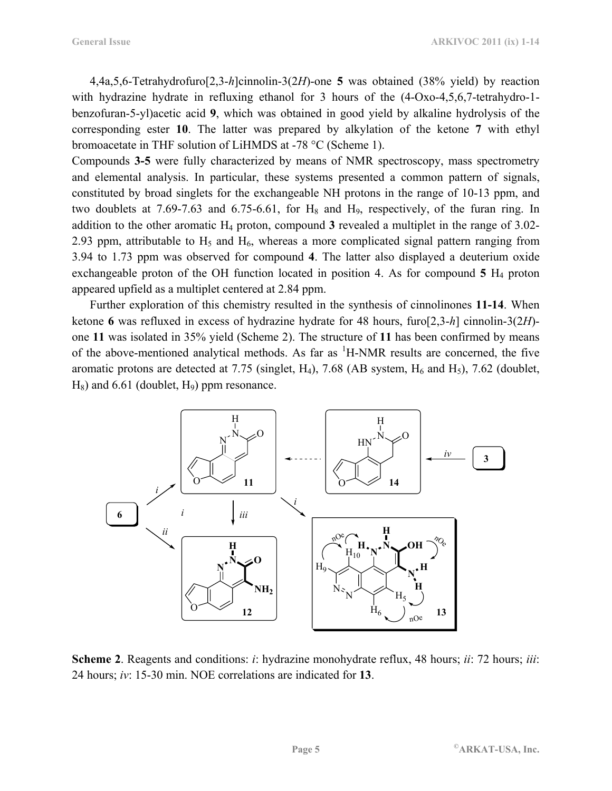4,4a,5,6-Tetrahydrofuro[2,3-*h*]cinnolin-3(2*H*)-one **5** was obtained (38% yield) by reaction with hydrazine hydrate in refluxing ethanol for 3 hours of the  $(4$ -Oxo-4,5,6,7-tetrahydro-1benzofuran-5-yl)acetic acid **9**, which was obtained in good yield by alkaline hydrolysis of the corresponding ester **10**. The latter was prepared by alkylation of the ketone **7** with ethyl bromoacetate in THF solution of LiHMDS at -78 °C (Scheme 1).

Compounds **3-5** were fully characterized by means of NMR spectroscopy, mass spectrometry and elemental analysis. In particular, these systems presented a common pattern of signals, constituted by broad singlets for the exchangeable NH protons in the range of 10-13 ppm, and two doublets at  $7.69-7.63$  and  $6.75-6.61$ , for  $H_8$  and  $H_9$ , respectively, of the furan ring. In addition to the other aromatic H<sub>4</sub> proton, compound 3 revealed a multiplet in the range of 3.02-2.93 ppm, attributable to  $H_5$  and  $H_6$ , whereas a more complicated signal pattern ranging from 3.94 to 1.73 ppm was observed for compound **4**. The latter also displayed a deuterium oxide exchangeable proton of the OH function located in position 4. As for compound  $5H_4$  proton appeared upfield as a multiplet centered at 2.84 ppm.

Further exploration of this chemistry resulted in the synthesis of cinnolinones **11-14**. When ketone **6** was refluxed in excess of hydrazine hydrate for 48 hours, furo[2,3-*h*] cinnolin-3(2*H*) one **11** was isolated in 35% yield (Scheme 2). The structure of **11** has been confirmed by means of the above-mentioned analytical methods. As far as  ${}^{1}H$ -NMR results are concerned, the five aromatic protons are detected at 7.75 (singlet,  $H_4$ ), 7.68 (AB system,  $H_6$  and  $H_5$ ), 7.62 (doublet,  $H_8$ ) and 6.61 (doublet,  $H_9$ ) ppm resonance.



**Scheme 2**. Reagents and conditions: *i*: hydrazine monohydrate reflux, 48 hours; *ii*: 72 hours; *iii*: 24 hours; *iv*: 15-30 min. NOE correlations are indicated for **13**.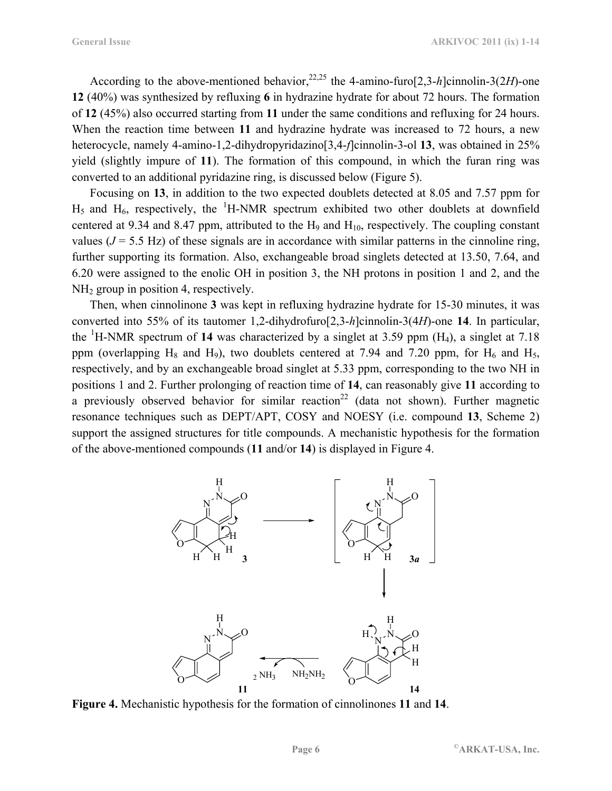According to the above-mentioned behavior,<sup>22,25</sup> the 4-amino-furo[2,3-*h*]cinnolin-3(2*H*)-one **12** (40%) was synthesized by refluxing **6** in hydrazine hydrate for about 72 hours. The formation of **12** (45%) also occurred starting from **11** under the same conditions and refluxing for 24 hours. When the reaction time between **11** and hydrazine hydrate was increased to 72 hours, a new heterocycle, namely 4-amino-1,2-dihydropyridazino<sup>[3,4-*f*]cinnolin-3-ol **13**, was obtained in 25%</sup> yield (slightly impure of **11**). The formation of this compound, in which the furan ring was converted to an additional pyridazine ring, is discussed below (Figure 5).

Focusing on **13**, in addition to the two expected doublets detected at 8.05 and 7.57 ppm for  $H_5$  and  $H_6$ , respectively, the <sup>1</sup>H-NMR spectrum exhibited two other doublets at downfield centered at 9.34 and 8.47 ppm, attributed to the  $H_9$  and  $H_{10}$ , respectively. The coupling constant values  $(J = 5.5 \text{ Hz})$  of these signals are in accordance with similar patterns in the cinnoline ring, further supporting its formation. Also, exchangeable broad singlets detected at 13.50, 7.64, and 6.20 were assigned to the enolic OH in position 3, the NH protons in position 1 and 2, and the NH<sub>2</sub> group in position 4, respectively.

Then, when cinnolinone **3** was kept in refluxing hydrazine hydrate for 15-30 minutes, it was converted into 55% of its tautomer 1,2-dihydrofuro[2,3-*h*]cinnolin-3(4*H*)-one **14**. In particular, the <sup>1</sup>H-NMR spectrum of 14 was characterized by a singlet at 3.59 ppm  $(H_4)$ , a singlet at 7.18 ppm (overlapping H<sub>8</sub> and H<sub>9</sub>), two doublets centered at 7.94 and 7.20 ppm, for H<sub>6</sub> and H<sub>5</sub>, respectively, and by an exchangeable broad singlet at 5.33 ppm, corresponding to the two NH in positions 1 and 2. Further prolonging of reaction time of **14**, can reasonably give **11** according to a previously observed behavior for similar reaction<sup>22</sup> (data not shown). Further magnetic resonance techniques such as DEPT/APT, COSY and NOESY (i.e. compound **13**, Scheme 2) support the assigned structures for title compounds. A mechanistic hypothesis for the formation of the above-mentioned compounds (**11** and/or **14**) is displayed in Figure 4.



**Figure 4.** Mechanistic hypothesis for the formation of cinnolinones **11** and **14**.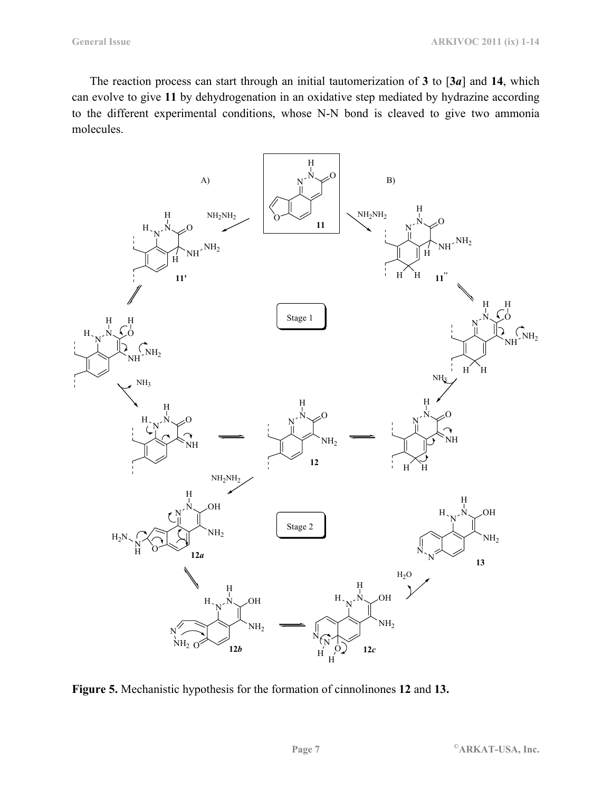The reaction process can start through an initial tautomerization of **3** to [**3***a*] and **14**, which can evolve to give **11** by dehydrogenation in an oxidative step mediated by hydrazine according to the different experimental conditions, whose N-N bond is cleaved to give two ammonia molecules.



**Figure 5.** Mechanistic hypothesis for the formation of cinnolinones **12** and **13.**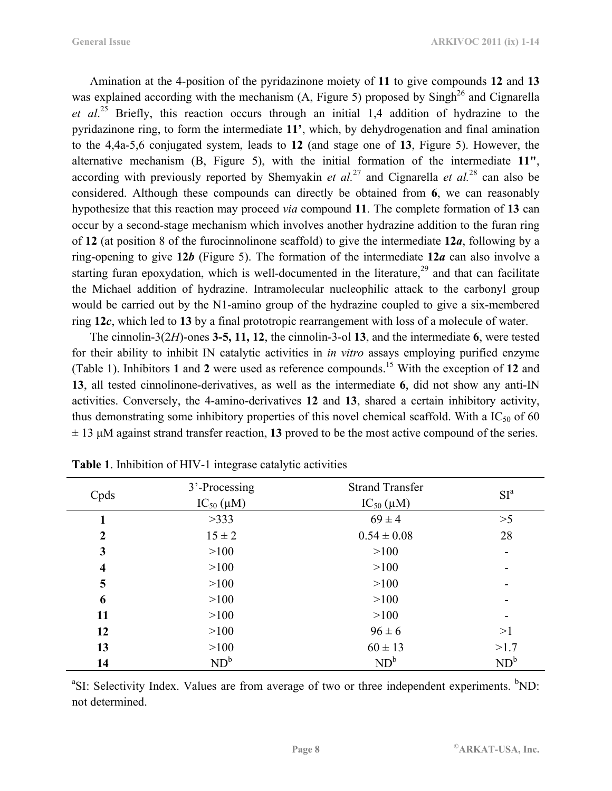Amination at the 4-position of the pyridazinone moiety of **11** to give compounds **12** and **13** was explained according with the mechanism  $(A, Figure 5)$  proposed by Singh<sup>26</sup> and Cignarella *et al*. 25 Briefly, this reaction occurs through an initial 1,4 addition of hydrazine to the pyridazinone ring, to form the intermediate **11'**, which, by dehydrogenation and final amination to the 4,4a-5,6 conjugated system, leads to **12** (and stage one of **13**, Figure 5). However, the alternative mechanism (B, Figure 5), with the initial formation of the intermediate **11"**, according with previously reported by Shemyakin *et al.*<sup>27</sup> and Cignarella *et al.*<sup>28</sup> can also be considered. Although these compounds can directly be obtained from **6**, we can reasonably hypothesize that this reaction may proceed *via* compound **11**. The complete formation of **13** can occur by a second-stage mechanism which involves another hydrazine addition to the furan ring of **12** (at position 8 of the furocinnolinone scaffold) to give the intermediate **12***a*, following by a ring-opening to give **12***b* (Figure 5). The formation of the intermediate **12***a* can also involve a starting furan epoxydation, which is well-documented in the literature,<sup>29</sup> and that can facilitate the Michael addition of hydrazine. Intramolecular nucleophilic attack to the carbonyl group would be carried out by the N1-amino group of the hydrazine coupled to give a six-membered ring **12***c*, which led to **13** by a final prototropic rearrangement with loss of a molecule of water.

The cinnolin-3(2*H*)-ones **3-5, 11, 12**, the cinnolin-3-ol **13**, and the intermediate **6**, were tested for their ability to inhibit IN catalytic activities in *in vitro* assays employing purified enzyme (Table 1). Inhibitors **1** and **2** were used as reference compounds.15 With the exception of **12** and **13**, all tested cinnolinone-derivatives, as well as the intermediate **6**, did not show any anti-IN activities. Conversely, the 4-amino-derivatives **12** and **13**, shared a certain inhibitory activity, thus demonstrating some inhibitory properties of this novel chemical scaffold. With a  $IC_{50}$  of 60 ± 13 µM against strand transfer reaction, **13** proved to be the most active compound of the series.

| Cpds                    | 3'-Processing    | <b>Strand Transfer</b> | SI <sup>a</sup> |
|-------------------------|------------------|------------------------|-----------------|
|                         | $IC_{50}(\mu M)$ | $IC_{50}(\mu M)$       |                 |
|                         | >333             | $69 \pm 4$             | >5              |
| $\overline{2}$          | $15 \pm 2$       | $0.54 \pm 0.08$        | 28              |
| 3                       | >100             | >100                   |                 |
| $\overline{\mathbf{4}}$ | >100             | >100                   |                 |
| 5                       | >100             | >100                   |                 |
| 6                       | >100             | >100                   |                 |
| 11                      | >100             | >100                   |                 |
| 12                      | >100             | $96 \pm 6$             | >1              |
| 13                      | >100             | $60 \pm 13$            | >1.7            |
| 14                      | $ND^b$           | $ND^b$                 | $ND^b$          |

**Table 1**. Inhibition of HIV-1 integrase catalytic activities

<sup>a</sup>SI: Selectivity Index. Values are from average of two or three independent experiments. <sup>b</sup>ND: not determined.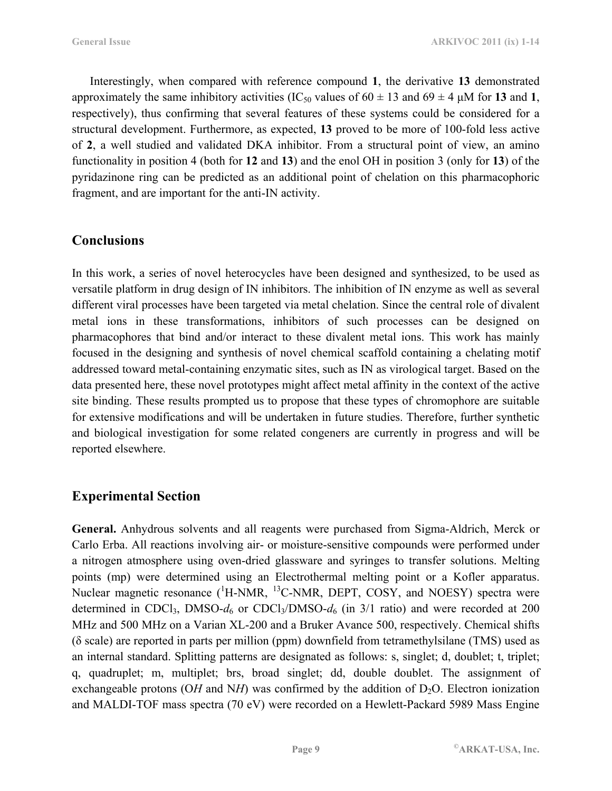Interestingly, when compared with reference compound **1**, the derivative **13** demonstrated approximately the same inhibitory activities (IC<sub>50</sub> values of  $60 \pm 13$  and  $69 \pm 4$  µM for 13 and 1, respectively), thus confirming that several features of these systems could be considered for a structural development. Furthermore, as expected, **13** proved to be more of 100-fold less active of **2**, a well studied and validated DKA inhibitor. From a structural point of view, an amino functionality in position 4 (both for **12** and **13**) and the enol OH in position 3 (only for **13**) of the pyridazinone ring can be predicted as an additional point of chelation on this pharmacophoric fragment, and are important for the anti-IN activity.

# **Conclusions**

In this work, a series of novel heterocycles have been designed and synthesized, to be used as versatile platform in drug design of IN inhibitors. The inhibition of IN enzyme as well as several different viral processes have been targeted via metal chelation. Since the central role of divalent metal ions in these transformations, inhibitors of such processes can be designed on pharmacophores that bind and/or interact to these divalent metal ions. This work has mainly focused in the designing and synthesis of novel chemical scaffold containing a chelating motif addressed toward metal-containing enzymatic sites, such as IN as virological target. Based on the data presented here, these novel prototypes might affect metal affinity in the context of the active site binding. These results prompted us to propose that these types of chromophore are suitable for extensive modifications and will be undertaken in future studies. Therefore, further synthetic and biological investigation for some related congeners are currently in progress and will be reported elsewhere.

### **Experimental Section**

**General.** Anhydrous solvents and all reagents were purchased from Sigma-Aldrich, Merck or Carlo Erba. All reactions involving air- or moisture-sensitive compounds were performed under a nitrogen atmosphere using oven-dried glassware and syringes to transfer solutions. Melting points (mp) were determined using an Electrothermal melting point or a Kofler apparatus. Nuclear magnetic resonance  $(^1H\text{-NMR},~^{13}C\text{-NMR},$  DEPT, COSY, and NOESY) spectra were determined in CDCl<sub>3</sub>, DMSO- $d_6$  or CDCl<sub>3</sub>/DMSO- $d_6$  (in 3/1 ratio) and were recorded at 200 MHz and 500 MHz on a Varian XL-200 and a Bruker Avance 500, respectively. Chemical shifts (δ scale) are reported in parts per million (ppm) downfield from tetramethylsilane (TMS) used as an internal standard. Splitting patterns are designated as follows: s, singlet; d, doublet; t, triplet; q, quadruplet; m, multiplet; brs, broad singlet; dd, double doublet. The assignment of exchangeable protons (OH and NH) was confirmed by the addition of  $D_2O$ . Electron ionization and MALDI-TOF mass spectra (70 eV) were recorded on a Hewlett-Packard 5989 Mass Engine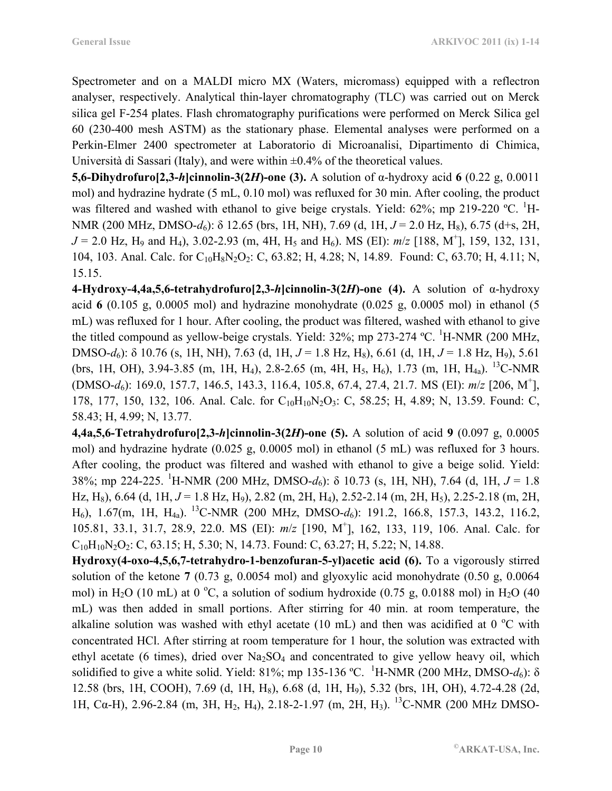Spectrometer and on a MALDI micro MX (Waters, micromass) equipped with a reflectron analyser, respectively. Analytical thin-layer chromatography (TLC) was carried out on Merck silica gel F-254 plates. Flash chromatography purifications were performed on Merck Silica gel 60 (230-400 mesh ASTM) as the stationary phase. Elemental analyses were performed on a Perkin-Elmer 2400 spectrometer at Laboratorio di Microanalisi, Dipartimento di Chimica, Università di Sassari (Italy), and were within  $\pm 0.4\%$  of the theoretical values.

**5,6-Dihydrofuro[2,3-***h***]cinnolin-3(2***H***)-one (3).** A solution of  $\alpha$ -hydroxy acid 6 (0.22 g, 0.0011) mol) and hydrazine hydrate (5 mL, 0.10 mol) was refluxed for 30 min. After cooling, the product was filtered and washed with ethanol to give beige crystals. Yield:  $62\%$ ; mp 219-220 °C. <sup>1</sup>H-NMR (200 MHz, DMSO-*d*6): δ 12.65 (brs, 1H, NH), 7.69 (d, 1H, *J* = 2.0 Hz, H8), 6.75 (d+s, 2H,  $J = 2.0$  Hz, H<sub>9</sub> and H<sub>4</sub>), 3.02-2.93 (m, 4H, H<sub>5</sub> and H<sub>6</sub>). MS (EI):  $m/z$  [188, M<sup>+</sup>], 159, 132, 131, 104, 103. Anal. Calc. for C<sub>10</sub>H<sub>8</sub>N<sub>2</sub>O<sub>2</sub>: C, 63.82; H, 4.28; N, 14.89. Found: C, 63.70; H, 4.11; N, 15.15.

**4-Hydroxy-4,4a,5,6-tetrahydrofuro[2,3-***h***]cinnolin-3(2***H***)-one (4).** A solution of α-hydroxy acid  $6$  (0.105 g, 0.0005 mol) and hydrazine monohydrate (0.025 g, 0.0005 mol) in ethanol (5 mL) was refluxed for 1 hour. After cooling, the product was filtered, washed with ethanol to give the titled compound as yellow-beige crystals. Yield:  $32\%$ ; mp  $273-274$  °C. <sup>1</sup>H-NMR (200 MHz, DMSO-*d*6): δ 10.76 (s, 1H, NH), 7.63 (d, 1H, *J* = 1.8 Hz, H8), 6.61 (d, 1H, *J* = 1.8 Hz, H9), 5.61 (brs, 1H, OH), 3.94-3.85 (m, 1H, H<sub>4</sub>), 2.8-2.65 (m, 4H, H<sub>5</sub>, H<sub>6</sub>), 1.73 (m, 1H, H<sub>4a</sub>). <sup>13</sup>C-NMR (DMSO-*d*6): 169.0, 157.7, 146.5, 143.3, 116.4, 105.8, 67.4, 27.4, 21.7. MS (EI): *m*/*z* [206, M<sup>+</sup> ], 178, 177, 150, 132, 106. Anal. Calc. for C<sub>10</sub>H<sub>10</sub>N<sub>2</sub>O<sub>3</sub>: C, 58.25; H, 4.89; N, 13.59. Found: C, 58.43; H, 4.99; N, 13.77.

**4,4a,5,6-Tetrahydrofuro[2,3-***h***]cinnolin-3(2***H***)-one (5).** A solution of acid **9** (0.097 g, 0.0005 mol) and hydrazine hydrate (0.025 g, 0.0005 mol) in ethanol (5 mL) was refluxed for 3 hours. After cooling, the product was filtered and washed with ethanol to give a beige solid. Yield: 38%; mp 224-225. <sup>1</sup> H-NMR (200 MHz, DMSO-*d*6): δ 10.73 (s, 1H, NH), 7.64 (d, 1H, *J* = 1.8 Hz, H8), 6.64 (d, 1H, *J* = 1.8 Hz, H9), 2.82 (m, 2H, H4), 2.52-2.14 (m, 2H, H5), 2.25-2.18 (m, 2H, H6), 1.67(m, 1H, H4a). 13C-NMR (200 MHz, DMSO-*d*6): 191.2, 166.8, 157.3, 143.2, 116.2, 105.81, 33.1, 31.7, 28.9, 22.0. MS (EI): *m*/*z* [190, M<sup>+</sup> ], 162, 133, 119, 106. Anal. Calc. for  $C_{10}H_{10}N_2O_2$ : C, 63.15; H, 5.30; N, 14.73. Found: C, 63.27; H, 5.22; N, 14.88.

**Hydroxy(4-oxo-4,5,6,7-tetrahydro-1-benzofuran-5-yl)acetic acid (6).** To a vigorously stirred solution of the ketone **7** (0.73 g, 0.0054 mol) and glyoxylic acid monohydrate (0.50 g, 0.0064 mol) in H<sub>2</sub>O (10 mL) at 0 °C, a solution of sodium hydroxide (0.75 g, 0.0188 mol) in H<sub>2</sub>O (40 mL) was then added in small portions. After stirring for 40 min. at room temperature, the alkaline solution was washed with ethyl acetate (10 mL) and then was acidified at 0  $^{\circ}$ C with concentrated HCl. After stirring at room temperature for 1 hour, the solution was extracted with ethyl acetate (6 times), dried over  $Na<sub>2</sub>SO<sub>4</sub>$  and concentrated to give yellow heavy oil, which solidified to give a white solid. Yield: 81%; mp 135-136 °C. <sup>1</sup>H-NMR (200 MHz, DMSO-d<sub>6</sub>): δ 12.58 (brs, 1H, COOH), 7.69 (d, 1H, H8), 6.68 (d, 1H, H9), 5.32 (brs, 1H, OH), 4.72-4.28 (2d, 1H, Cα-H), 2.96-2.84 (m, 3H, H<sub>2</sub>, H<sub>4</sub>), 2.18-2-1.97 (m, 2H, H<sub>3</sub>), <sup>13</sup>C-NMR (200 MHz DMSO-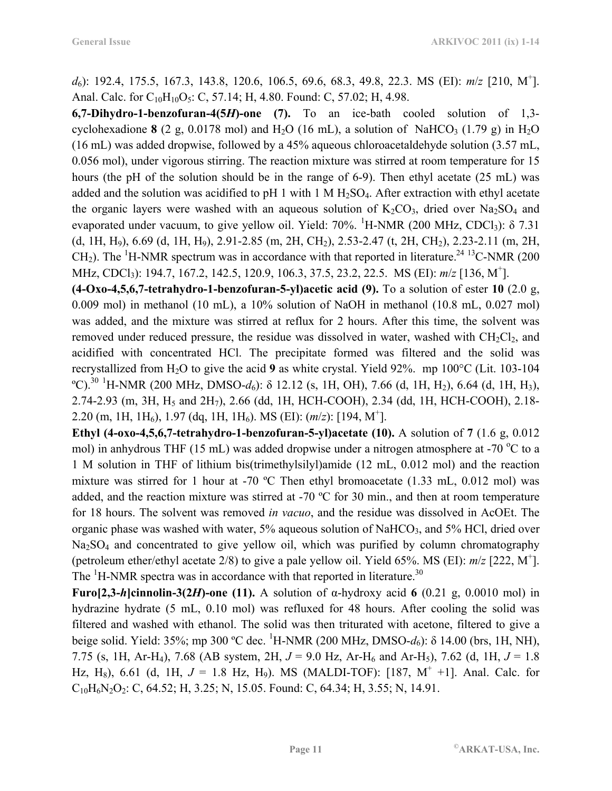*d*6): 192.4, 175.5, 167.3, 143.8, 120.6, 106.5, 69.6, 68.3, 49.8, 22.3. MS (EI): *m*/*z* [210, M<sup>+</sup> ]. Anal. Calc. for  $C_{10}H_{10}O_5$ : C, 57.14; H, 4.80. Found: C, 57.02; H, 4.98.

**6,7-Dihydro-1-benzofuran-4(5***H***)-one (7).** To an ice-bath cooled solution of 1,3 cyclohexadione **8** (2 g, 0.0178 mol) and H<sub>2</sub>O (16 mL), a solution of NaHCO<sub>3</sub> (1.79 g) in H<sub>2</sub>O (16 mL) was added dropwise, followed by a 45% aqueous chloroacetaldehyde solution (3.57 mL, 0.056 mol), under vigorous stirring. The reaction mixture was stirred at room temperature for 15 hours (the pH of the solution should be in the range of 6-9). Then ethyl acetate (25 mL) was added and the solution was acidified to pH 1 with 1 M  $H_2SO_4$ . After extraction with ethyl acetate the organic layers were washed with an aqueous solution of  $K_2CO_3$ , dried over Na<sub>2</sub>SO<sub>4</sub> and evaporated under vacuum, to give yellow oil. Yield: 70%. <sup>1</sup>H-NMR (200 MHz, CDCl<sub>3</sub>): δ 7.31 (d, 1H, H<sub>9</sub>), 6.69 (d, 1H, H<sub>9</sub>), 2.91-2.85 (m, 2H, CH<sub>2</sub>), 2.53-2.47 (t, 2H, CH<sub>2</sub>), 2.23-2.11 (m, 2H, CH<sub>2</sub>). The <sup>1</sup>H-NMR spectrum was in accordance with that reported in literature.<sup>24 13</sup>C-NMR (200 MHz, CDCl<sub>3</sub>): 194.7, 167.2, 142.5, 120.9, 106.3, 37.5, 23.2, 22.5. MS (EI):  $m/z$  [136, M<sup>+</sup>].

**(4-Oxo-4,5,6,7-tetrahydro-1-benzofuran-5-yl)acetic acid (9).** To a solution of ester **10** (2.0 g, 0.009 mol) in methanol (10 mL), a 10% solution of NaOH in methanol (10.8 mL, 0.027 mol) was added, and the mixture was stirred at reflux for 2 hours. After this time, the solvent was removed under reduced pressure, the residue was dissolved in water, washed with  $CH<sub>2</sub>Cl<sub>2</sub>$ , and acidified with concentrated HCl. The precipitate formed was filtered and the solid was recrystallized from H<sub>2</sub>O to give the acid 9 as white crystal. Yield 92%. mp 100°C (Lit. 103-104) <sup>o</sup>C).<sup>30</sup> <sup>1</sup>H-NMR (200 MHz, DMSO-*d*<sub>6</sub>): δ 12.12 (s, 1H, OH), 7.66 (d, 1H, H<sub>2</sub>), 6.64 (d, 1H, H<sub>3</sub>), 2.74-2.93 (m, 3H, H5 and 2H7), 2.66 (dd, 1H, HCH-COOH), 2.34 (dd, 1H, HCH-COOH), 2.18- 2.20 (m, 1H, 1H<sub>6</sub>), 1.97 (dq, 1H, 1H<sub>6</sub>). MS (EI):  $(m/z)$ : [194, M<sup>+</sup>].

**Ethyl (4-oxo-4,5,6,7-tetrahydro-1-benzofuran-5-yl)acetate (10).** A solution of **7** (1.6 g, 0.012 mol) in anhydrous THF (15 mL) was added dropwise under a nitrogen atmosphere at -70  $\rm{^{\circ}C}$  to a 1 M solution in THF of lithium bis(trimethylsilyl)amide (12 mL, 0.012 mol) and the reaction mixture was stirred for 1 hour at -70 ºC Then ethyl bromoacetate (1.33 mL, 0.012 mol) was added, and the reaction mixture was stirred at -70 ºC for 30 min., and then at room temperature for 18 hours. The solvent was removed *in vacuo*, and the residue was dissolved in AcOEt. The organic phase was washed with water,  $5\%$  aqueous solution of NaHCO<sub>3</sub>, and  $5\%$  HCl, dried over  $Na<sub>2</sub>SO<sub>4</sub>$  and concentrated to give yellow oil, which was purified by column chromatography (petroleum ether/ethyl acetate 2/8) to give a pale yellow oil. Yield 65%. MS (EI): *m*/*z* [222, M<sup>+</sup> ]. The  $\mathrm{^{1}H}\text{-}NMR$  spectra was in accordance with that reported in literature.<sup>30</sup>

**Furo[2,3-***h***]cinnolin-3(2***H***)-one (11).** A solution of α-hydroxy acid **6** (0.21 g, 0.0010 mol) in hydrazine hydrate (5 mL, 0.10 mol) was refluxed for 48 hours. After cooling the solid was filtered and washed with ethanol. The solid was then triturated with acetone, filtered to give a beige solid. Yield: 35%; mp 300 °C dec. <sup>1</sup>H-NMR (200 MHz, DMSO-d<sub>6</sub>): δ 14.00 (brs, 1H, NH), 7.75 (s, 1H, Ar-H<sub>4</sub>), 7.68 (AB system, 2H,  $J = 9.0$  Hz, Ar-H<sub>6</sub> and Ar-H<sub>5</sub>), 7.62 (d, 1H,  $J = 1.8$ Hz, H<sub>8</sub>), 6.61 (d, 1H,  $J = 1.8$  Hz, H<sub>9</sub>). MS (MALDI-TOF): [187, M<sup>+</sup> +1]. Anal. Calc. for  $C_{10}H_6N_2O_2$ : C, 64.52; H, 3.25; N, 15.05. Found: C, 64.34; H, 3.55; N, 14.91.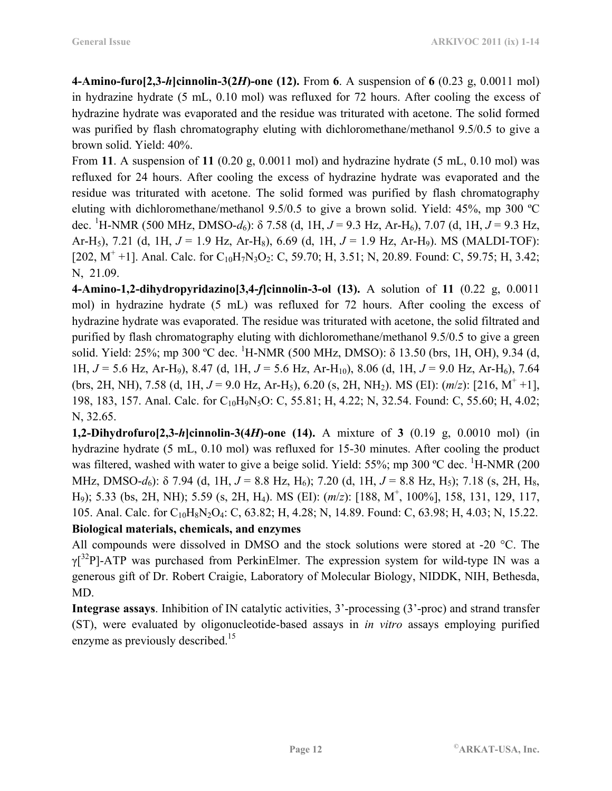**4-Amino-furo[2,3-***h***]cinnolin-3(2***H***)-one (12).** From **6**. A suspension of **6** (0.23 g, 0.0011 mol) in hydrazine hydrate (5 mL, 0.10 mol) was refluxed for 72 hours. After cooling the excess of hydrazine hydrate was evaporated and the residue was triturated with acetone. The solid formed was purified by flash chromatography eluting with dichloromethane/methanol 9.5/0.5 to give a brown solid. Yield: 40%.

From **11**. A suspension of **11** (0.20 g, 0.0011 mol) and hydrazine hydrate (5 mL, 0.10 mol) was refluxed for 24 hours. After cooling the excess of hydrazine hydrate was evaporated and the residue was triturated with acetone. The solid formed was purified by flash chromatography eluting with dichloromethane/methanol 9.5/0.5 to give a brown solid. Yield: 45%, mp 300 ºC dec. <sup>1</sup> H-NMR (500 MHz, DMSO-*d*6): δ 7.58 (d, 1H, *J* = 9.3 Hz, Ar-H6), 7.07 (d, 1H, *J* = 9.3 Hz, Ar-H<sub>5</sub>), 7.21 (d, 1H,  $J = 1.9$  Hz, Ar-H<sub>8</sub>), 6.69 (d, 1H,  $J = 1.9$  Hz, Ar-H<sub>9</sub>). MS (MALDI-TOF): [202, M<sup>+</sup> +1]. Anal. Calc. for C<sub>10</sub>H<sub>7</sub>N<sub>3</sub>O<sub>2</sub>: C, 59.70; H, 3.51; N, 20.89. Found: C, 59.75; H, 3.42; N, 21.09.

**4-Amino-1,2-dihydropyridazino[3,4-***f***]cinnolin-3-ol (13).** A solution of **11** (0.22 g, 0.0011 mol) in hydrazine hydrate (5 mL) was refluxed for 72 hours. After cooling the excess of hydrazine hydrate was evaporated. The residue was triturated with acetone, the solid filtrated and purified by flash chromatography eluting with dichloromethane/methanol 9.5/0.5 to give a green solid. Yield: 25%; mp 300 °C dec. <sup>1</sup>H-NMR (500 MHz, DMSO):  $\delta$  13.50 (brs, 1H, OH), 9.34 (d, 1H, *J* = 5.6 Hz, Ar-H9), 8.47 (d, 1H, *J* = 5.6 Hz, Ar-H10), 8.06 (d, 1H, *J* = 9.0 Hz, Ar-H6), 7.64 (brs, 2H, NH), 7.58 (d, 1H,  $J = 9.0$  Hz, Ar-H<sub>5</sub>), 6.20 (s, 2H, NH<sub>2</sub>). MS (EI):  $(m/z)$ : [216, M<sup>+</sup> +1], 198, 183, 157. Anal. Calc. for C10H9N5O: C, 55.81; H, 4.22; N, 32.54. Found: C, 55.60; H, 4.02; N, 32.65.

**1,2-Dihydrofuro[2,3-***h***]cinnolin-3(4***H***)-one (14).** A mixture of **3** (0.19 g, 0.0010 mol) (in hydrazine hydrate (5 mL, 0.10 mol) was refluxed for 15-30 minutes. After cooling the product was filtered, washed with water to give a beige solid. Yield:  $55\%$ ; mp 300 °C dec. <sup>1</sup>H-NMR (200 MHz, DMSO- $d_6$ ):  $\delta$  7.94 (d, 1H,  $J = 8.8$  Hz, H<sub>6</sub>); 7.20 (d, 1H,  $J = 8.8$  Hz, H<sub>5</sub>); 7.18 (s, 2H, H<sub>8</sub>, H<sub>9</sub>); 5.33 (bs, 2H, NH); 5.59 (s, 2H, H<sub>4</sub>). MS (EI):  $(m/z)$ : [188, M<sup>+</sup>, 100%], 158, 131, 129, 117, 105. Anal. Calc. for C10H8N2O4: C, 63.82; H, 4.28; N, 14.89. Found: C, 63.98; H, 4.03; N, 15.22. **Biological materials, chemicals, and enzymes**

All compounds were dissolved in DMSO and the stock solutions were stored at -20 °C. The  $\gamma$ [<sup>32</sup>P]-ATP was purchased from PerkinElmer. The expression system for wild-type IN was a generous gift of Dr. Robert Craigie, Laboratory of Molecular Biology, NIDDK, NIH, Bethesda, MD.

**Integrase assays**. Inhibition of IN catalytic activities, 3'-processing (3'-proc) and strand transfer (ST), were evaluated by oligonucleotide-based assays in *in vitro* assays employing purified enzyme as previously described.<sup>15</sup>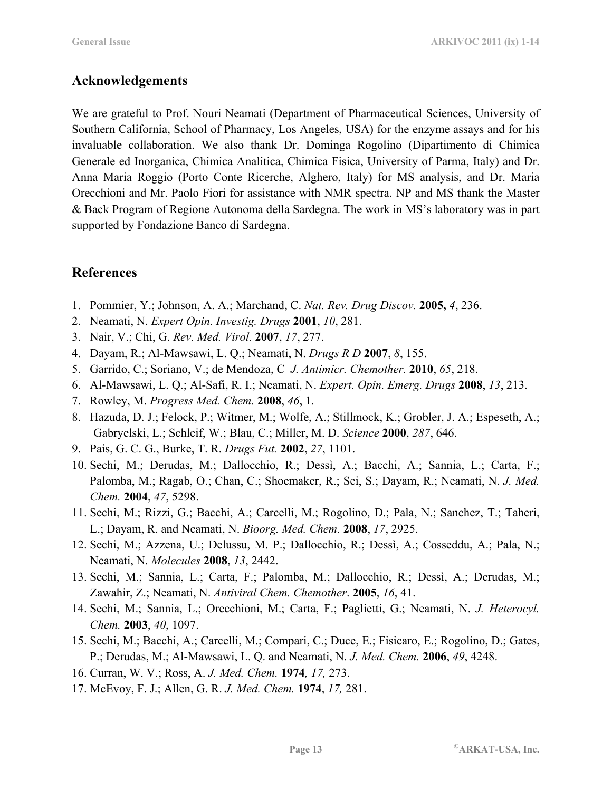# **Acknowledgements**

We are grateful to Prof. Nouri Neamati (Department of Pharmaceutical Sciences, University of Southern California, School of Pharmacy, Los Angeles, USA) for the enzyme assays and for his invaluable collaboration. We also thank Dr. Dominga Rogolino (Dipartimento di Chimica Generale ed Inorganica, Chimica Analitica, Chimica Fisica, University of Parma, Italy) and Dr. Anna Maria Roggio (Porto Conte Ricerche, Alghero, Italy) for MS analysis, and Dr. Maria Orecchioni and Mr. Paolo Fiori for assistance with NMR spectra. NP and MS thank the Master & Back Program of Regione Autonoma della Sardegna. The work in MS's laboratory was in part supported by Fondazione Banco di Sardegna.

# **References**

- 1. Pommier, Y.; Johnson, A. A.; Marchand, C. *Nat. Rev. Drug Discov.* **2005,** *4*, 236.
- 2. Neamati, N. *Expert Opin. Investig. Drugs* **2001**, *10*, 281.
- 3. Nair, V.; Chi, G. *Rev. Med. Virol.* **2007**, *17*, 277.
- 4. Dayam, R.; Al-Mawsawi, L. Q.; Neamati, N. *Drugs R D* **2007**, *8*, 155.
- 5. Garrido, C.; Soriano, V.; de Mendoza, C *J. Antimicr. Chemother.* **2010**, *65*, 218.
- 6. Al-Mawsawi, L. Q.; Al-Safi, R. I.; Neamati, N. *Expert. Opin. Emerg. Drugs* **2008**, *13*, 213.
- 7. Rowley, M. *Progress Med. Chem.* **2008**, *46*, 1.
- 8. Hazuda, D. J.; Felock, P.; Witmer, M.; Wolfe, A.; Stillmock, K.; Grobler, J. A.; Espeseth, A.; Gabryelski, L.; Schleif, W.; Blau, C.; Miller, M. D. *Science* **2000**, *287*, 646.
- 9. Pais, G. C. G., Burke, T. R. *Drugs Fut.* **2002**, *27*, 1101.
- 10. Sechi, M.; Derudas, M.; Dallocchio, R.; Dessì, A.; Bacchi, A.; Sannia, L.; Carta, F.; Palomba, M.; Ragab, O.; Chan, C.; Shoemaker, R.; Sei, S.; Dayam, R.; Neamati, N. *J. Med. Chem.* **2004**, *47*, 5298.
- 11. Sechi, M.; Rizzi, G.; Bacchi, A.; Carcelli, M.; Rogolino, D.; Pala, N.; Sanchez, T.; Taheri, L.; Dayam, R. and Neamati, N. *Bioorg. Med. Chem.* **2008**, *17*, 2925.
- 12. Sechi, M.; Azzena, U.; Delussu, M. P.; Dallocchio, R.; Dessì, A.; Cosseddu, A.; Pala, N.; Neamati, N. *Molecules* **2008**, *13*, 2442.
- 13. Sechi, M.; Sannia, L.; Carta, F.; Palomba, M.; Dallocchio, R.; Dessì, A.; Derudas, M.; Zawahir, Z.; Neamati, N. *Antiviral Chem. Chemother*. **2005**, *16*, 41.
- 14. Sechi, M.; Sannia, L.; Orecchioni, M.; Carta, F.; Paglietti, G.; Neamati, N. *J. Heterocyl. Chem.* **2003**, *40*, 1097.
- 15. Sechi, M.; Bacchi, A.; Carcelli, M.; Compari, C.; Duce, E.; Fisicaro, E.; Rogolino, D.; Gates, P.; Derudas, M.; Al-Mawsawi, L. Q. and Neamati, N. *J. Med. Chem.* **2006**, *49*, 4248.
- 16. Curran, W. V.; Ross, A. *J. Med. Chem.* **1974***, 17,* 273.
- 17. McEvoy, F. J.; Allen, G. R. *J. Med. Chem.* **1974**, *17,* 281.